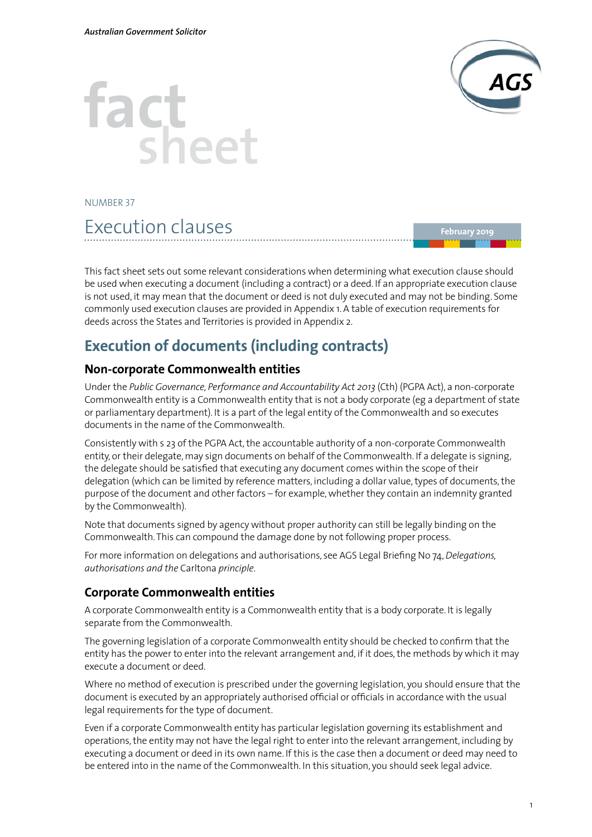

# **factsheet**

NUMBER 37

# Execution clauses

**February 2019**

This fact sheet sets out some relevant considerations when determining what execution clause should be used when executing a document (including a contract) or a deed. If an appropriate execution clause is not used, it may mean that the document or deed is not duly executed and may not be binding. Some commonly used execution clauses are provided in Appendix 1. A table of execution requirements for deeds across the States and Territories is provided in Appendix 2.

# **Execution of documents (including contracts)**

## **Non-corporate Commonwealth entities**

Under the *Public Governance, Performance and Accountability Act 2013* (Cth) (PGPA Act), a non-corporate Commonwealth entity is a Commonwealth entity that is not a body corporate (eg a department of state or parliamentary department). It is a part of the legal entity of the Commonwealth and so executes documents in the name of the Commonwealth.

Consistently with s 23 of the PGPA Act, the accountable authority of a non-corporate Commonwealth entity, or their delegate, may sign documents on behalf of the Commonwealth. If a delegate is signing, the delegate should be satisfied that executing any document comes within the scope of their delegation (which can be limited by reference matters, including a dollar value, types of documents, the purpose of the document and other factors – for example, whether they contain an indemnity granted by the Commonwealth).

Note that documents signed by agency without proper authority can still be legally binding on the Commonwealth. This can compound the damage done by not following proper process.

For more information on delegations and authorisations, see AGS Legal Briefing No 74, *Delegations, authorisations and the* Carltona *principle*.

## **Corporate Commonwealth entities**

A corporate Commonwealth entity is a Commonwealth entity that is a body corporate. It is legally separate from the Commonwealth.

The governing legislation of a corporate Commonwealth entity should be checked to confirm that the entity has the power to enter into the relevant arrangement and, if it does, the methods by which it may execute a document or deed.

Where no method of execution is prescribed under the governing legislation, you should ensure that the document is executed by an appropriately authorised official or officials in accordance with the usual legal requirements for the type of document.

Even if a corporate Commonwealth entity has particular legislation governing its establishment and operations, the entity may not have the legal right to enter into the relevant arrangement, including by executing a document or deed in its own name. If this is the case then a document or deed may need to be entered into in the name of the Commonwealth. In this situation, you should seek legal advice.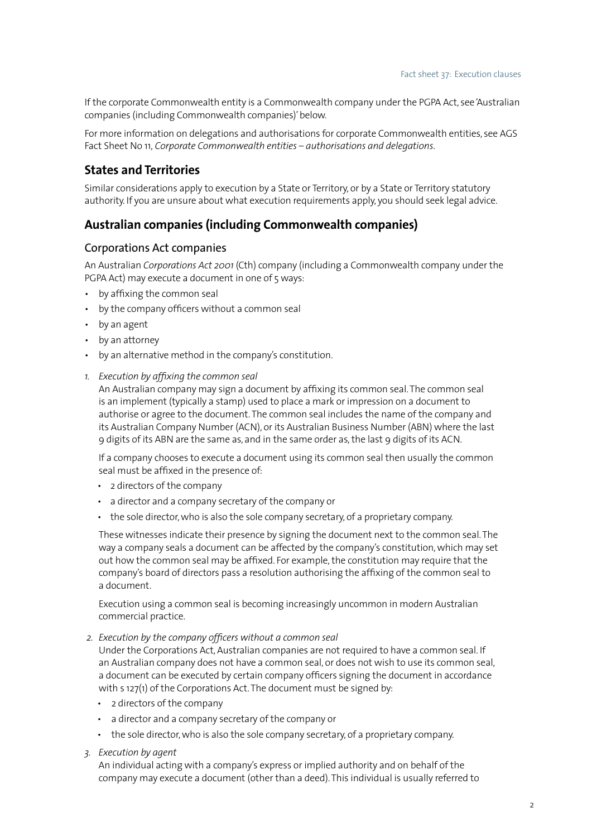If the corporate Commonwealth entity is a Commonwealth company under the PGPA Act, see 'Australian companies (including Commonwealth companies)' below.

For more information on delegations and authorisations for corporate Commonwealth entities, see AGS Fact Sheet No 11, *Corporate Commonwealth entities – authorisations and delegations*.

#### **States and Territories**

Similar considerations apply to execution by a State or Territory, or by a State or Territory statutory authority. If you are unsure about what execution requirements apply, you should seek legal advice.

#### **Australian companies (including Commonwealth companies)**

#### Corporations Act companies

An Australian *Corporations Act 2001* (Cth) company (including a Commonwealth company under the PGPA Act) may execute a document in one of 5 ways:

- • by affixing the common seal
- by the company officers without a common seal
- by an agent
- by an attorney
- • by an alternative method in the company's constitution.
- *1. Execution by affixing the common seal*

An Australian company may sign a document by affixing its common seal. The common seal is an implement (typically a stamp) used to place a mark or impression on a document to authorise or agree to the document. The common seal includes the name of the company and its Australian Company Number (ACN), or its Australian Business Number (ABN) where the last 9 digits of its ABN are the same as, and in the same order as, the last 9 digits of its ACN.

If a company chooses to execute a document using its common seal then usually the common seal must be affixed in the presence of:

- • 2 directors of the company
- • a director and a company secretary of the company or
- the sole director, who is also the sole company secretary, of a proprietary company.

These witnesses indicate their presence by signing the document next to the common seal. The way a company seals a document can be affected by the company's constitution, which may set out how the common seal may be affixed. For example, the constitution may require that the company's board of directors pass a resolution authorising the affixing of the common seal to a document.

Execution using a common seal is becoming increasingly uncommon in modern Australian commercial practice.

*2. Execution by the company officers without a common seal* 

Under the Corporations Act, Australian companies are not required to have a common seal. If an Australian company does not have a common seal, or does not wish to use its common seal, a document can be executed by certain company officers signing the document in accordance with s 127(1) of the Corporations Act. The document must be signed by:

- • 2 directors of the company
- • a director and a company secretary of the company or
- the sole director, who is also the sole company secretary, of a proprietary company.

#### *3. Execution by agent*

An individual acting with a company's express or implied authority and on behalf of the company may execute a document (other than a deed). This individual is usually referred to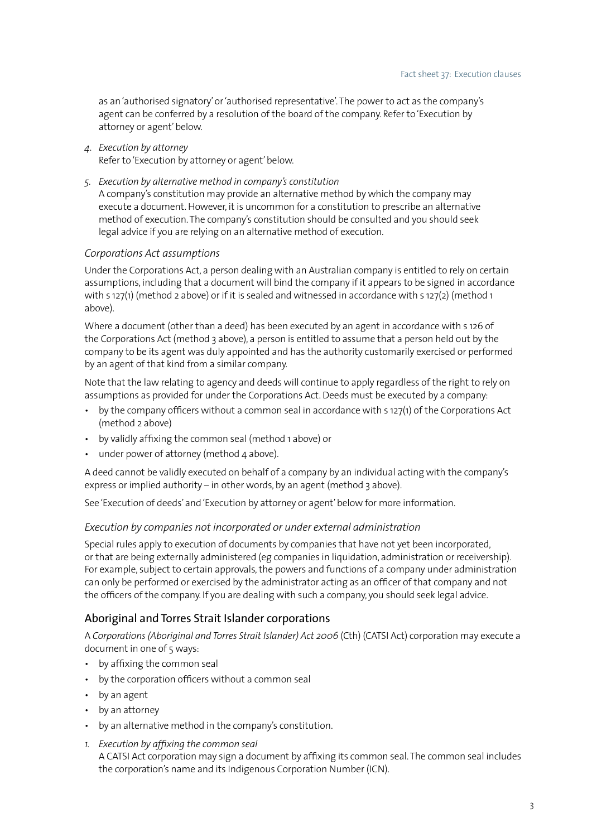as an 'authorised signatory' or 'authorised representative'. The power to act as the company's agent can be conferred by a resolution of the board of the company. Refer to 'Execution by attorney or agent' below.

*4. Execution by attorney*

Refer to 'Execution by attorney or agent' below.

*5. Execution by alternative method in company's constitution*

A company's constitution may provide an alternative method by which the company may execute a document. However, it is uncommon for a constitution to prescribe an alternative method of execution. The company's constitution should be consulted and you should seek legal advice if you are relying on an alternative method of execution.

#### *Corporations Act assumptions*

Under the Corporations Act, a person dealing with an Australian company is entitled to rely on certain assumptions, including that a document will bind the company if it appears to be signed in accordance with s 127(1) (method 2 above) or if it is sealed and witnessed in accordance with s 127(2) (method 1 above).

Where a document (other than a deed) has been executed by an agent in accordance with s 126 of the Corporations Act (method 3 above), a person is entitled to assume that a person held out by the company to be its agent was duly appointed and has the authority customarily exercised or performed by an agent of that kind from a similar company.

Note that the law relating to agency and deeds will continue to apply regardless of the right to rely on assumptions as provided for under the Corporations Act. Deeds must be executed by a company:

- • by the company officers without a common seal in accordance with s 127(1) of the Corporations Act (method 2 above)
- • by validly affixing the common seal (method 1 above) or
- under power of attorney (method  $4$  above).

A deed cannot be validly executed on behalf of a company by an individual acting with the company's express or implied authority – in other words, by an agent (method 3 above).

See 'Execution of deeds' and 'Execution by attorney or agent' below for more information.

#### *Execution by companies not incorporated or under external administration*

Special rules apply to execution of documents by companies that have not yet been incorporated, or that are being externally administered (eg companies in liquidation, administration or receivership). For example, subject to certain approvals, the powers and functions of a company under administration can only be performed or exercised by the administrator acting as an officer of that company and not the officers of the company. If you are dealing with such a company, you should seek legal advice.

#### Aboriginal and Torres Strait Islander corporations

A *Corporations (Aboriginal and Torres Strait Islander) Act 2006* (Cth) (CATSI Act) corporation may execute a document in one of 5 ways:

- • by affixing the common seal
- • by the corporation officers without a common seal
- by an agent
- by an attorney
- • by an alternative method in the company's constitution.
- *1. Execution by affixing the common seal* A CATSI Act corporation may sign a document by affixing its common seal. The common seal includes the corporation's name and its Indigenous Corporation Number (ICN).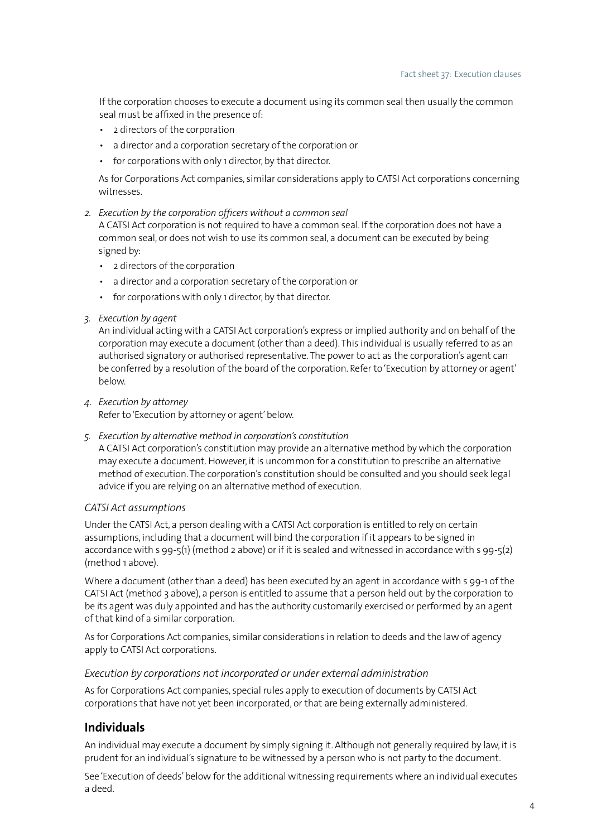If the corporation chooses to execute a document using its common seal then usually the common seal must be affixed in the presence of:

- • 2 directors of the corporation
- • a director and a corporation secretary of the corporation or
- for corporations with only 1 director, by that director.

As for Corporations Act companies, similar considerations apply to CATSI Act corporations concerning witnesses.

*2. Execution by the corporation officers without a common seal*

A CATSI Act corporation is not required to have a common seal. If the corporation does not have a common seal, or does not wish to use its common seal, a document can be executed by being signed by:

- • 2 directors of the corporation
- • a director and a corporation secretary of the corporation or
- for corporations with only 1 director, by that director.
- *3. Execution by agent*

An individual acting with a CATSI Act corporation's express or implied authority and on behalf of the corporation may execute a document (other than a deed). This individual is usually referred to as an authorised signatory or authorised representative. The power to act as the corporation's agent can be conferred by a resolution of the board of the corporation. Refer to 'Execution by attorney or agent' below.

*4. Execution by attorney*

Refer to 'Execution by attorney or agent' below.

*5. Execution by alternative method in corporation's constitution*

A CATSI Act corporation's constitution may provide an alternative method by which the corporation may execute a document. However, it is uncommon for a constitution to prescribe an alternative method of execution. The corporation's constitution should be consulted and you should seek legal advice if you are relying on an alternative method of execution.

#### *CATSI Act assumptions*

Under the CATSI Act, a person dealing with a CATSI Act corporation is entitled to rely on certain assumptions, including that a document will bind the corporation if it appears to be signed in accordance with s 99-5(1) (method 2 above) or if it is sealed and witnessed in accordance with s 99-5(2) (method 1 above).

Where a document (other than a deed) has been executed by an agent in accordance with s 99-1 of the CATSI Act (method 3 above), a person is entitled to assume that a person held out by the corporation to be its agent was duly appointed and has the authority customarily exercised or performed by an agent of that kind of a similar corporation.

As for Corporations Act companies, similar considerations in relation to deeds and the law of agency apply to CATSI Act corporations.

#### *Execution by corporations not incorporated or under external administration*

As for Corporations Act companies, special rules apply to execution of documents by CATSI Act corporations that have not yet been incorporated, or that are being externally administered.

#### **Individuals**

An individual may execute a document by simply signing it. Although not generally required by law, it is prudent for an individual's signature to be witnessed by a person who is not party to the document.

See 'Execution of deeds' below for the additional witnessing requirements where an individual executes a deed.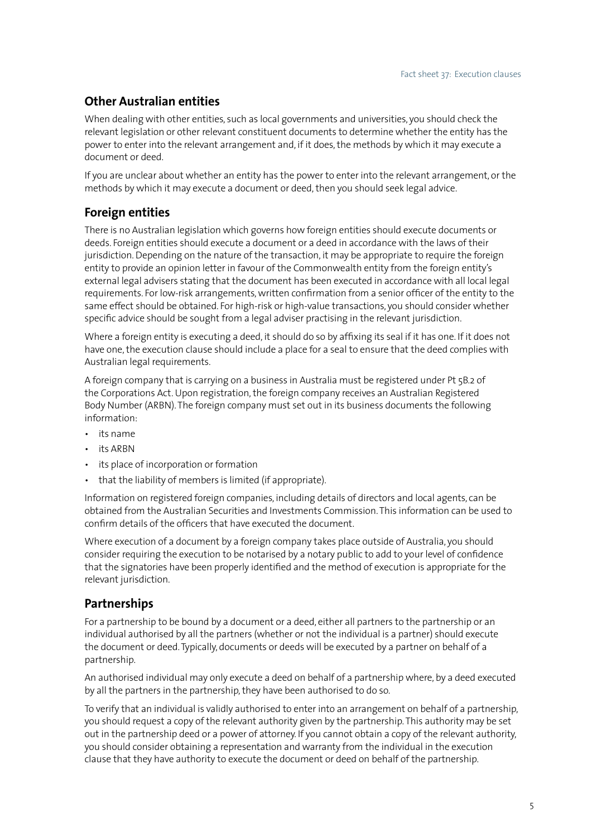## **Other Australian entities**

When dealing with other entities, such as local governments and universities, you should check the relevant legislation or other relevant constituent documents to determine whether the entity has the power to enter into the relevant arrangement and, if it does, the methods by which it may execute a document or deed.

If you are unclear about whether an entity has the power to enter into the relevant arrangement, or the methods by which it may execute a document or deed, then you should seek legal advice.

## **Foreign entities**

There is no Australian legislation which governs how foreign entities should execute documents or deeds. Foreign entities should execute a document or a deed in accordance with the laws of their jurisdiction. Depending on the nature of the transaction, it may be appropriate to require the foreign entity to provide an opinion letter in favour of the Commonwealth entity from the foreign entity's external legal advisers stating that the document has been executed in accordance with all local legal requirements. For low-risk arrangements, written confirmation from a senior officer of the entity to the same effect should be obtained. For high-risk or high-value transactions, you should consider whether specific advice should be sought from a legal adviser practising in the relevant jurisdiction.

Where a foreign entity is executing a deed, it should do so by affixing its seal if it has one. If it does not have one, the execution clause should include a place for a seal to ensure that the deed complies with Australian legal requirements.

A foreign company that is carrying on a business in Australia must be registered under Pt 5B.2 of the Corporations Act. Upon registration, the foreign company receives an Australian Registered Body Number (ARBN). The foreign company must set out in its business documents the following information:

- • its name
- • its ARBN
- its place of incorporation or formation
- that the liability of members is limited (if appropriate).

Information on registered foreign companies, including details of directors and local agents, can be obtained from the Australian Securities and Investments Commission. This information can be used to confirm details of the officers that have executed the document.

Where execution of a document by a foreign company takes place outside of Australia, you should consider requiring the execution to be notarised by a notary public to add to your level of confidence that the signatories have been properly identified and the method of execution is appropriate for the relevant jurisdiction.

## **Partnerships**

For a partnership to be bound by a document or a deed, either all partners to the partnership or an individual authorised by all the partners (whether or not the individual is a partner) should execute the document or deed. Typically, documents or deeds will be executed by a partner on behalf of a partnership.

An authorised individual may only execute a deed on behalf of a partnership where, by a deed executed by all the partners in the partnership, they have been authorised to do so.

To verify that an individual is validly authorised to enter into an arrangement on behalf of a partnership, you should request a copy of the relevant authority given by the partnership. This authority may be set out in the partnership deed or a power of attorney. If you cannot obtain a copy of the relevant authority, you should consider obtaining a representation and warranty from the individual in the execution clause that they have authority to execute the document or deed on behalf of the partnership.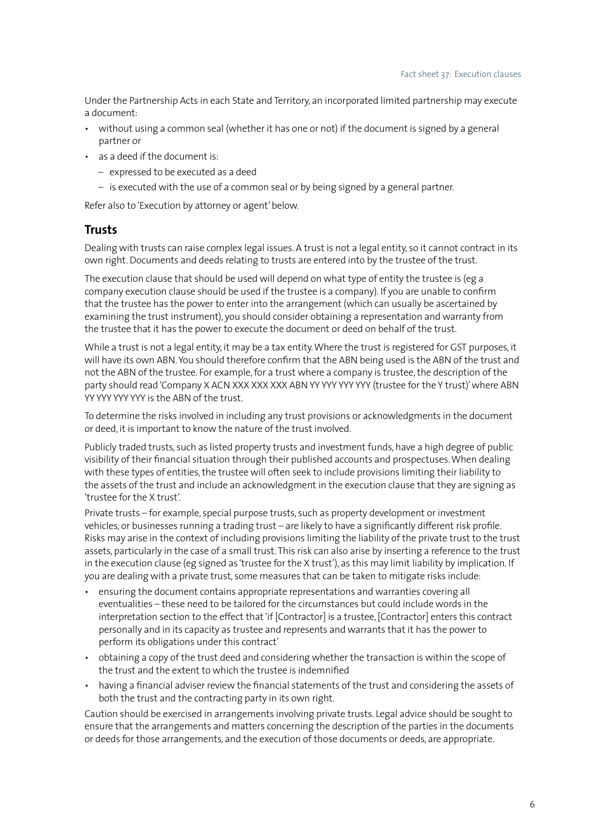Under the Partnership Acts in each State and Territory, an incorporated limited partnership may execute a document:

- • without using a common seal (whether it has one or not) if the document is signed by a general partner or
- as a deed if the document is:
	- expressed to be executed as a deed
	- is executed with the use of a common seal or by being signed by a general partner.

Refer also to 'Execution by attorney or agent' below.

#### **Trusts**

Dealing with trusts can raise complex legal issues. A trust is not a legal entity, so it cannot contract in its own right. Documents and deeds relating to trusts are entered into by the trustee of the trust.

The execution clause that should be used will depend on what type of entity the trustee is (eg a company execution clause should be used if the trustee is a company). If you are unable to confirm that the trustee has the power to enter into the arrangement (which can usually be ascertained by examining the trust instrument), you should consider obtaining a representation and warranty from the trustee that it has the power to execute the document or deed on behalf of the trust.

While a trust is not a legal entity, it may be a tax entity. Where the trust is registered for GST purposes, it will have its own ABN. You should therefore confirm that the ABN being used is the ABN of the trust and not the ABN of the trustee. For example, for a trust where a company is trustee, the description of the party should read 'Company X ACN XXX XXX XXX ABN YY YYY YYY YYY (trustee for the Y trust)' where ABN YY YYY YYY YYY is the ABN of the trust.

To determine the risks involved in including any trust provisions or acknowledgments in the document or deed, it is important to know the nature of the trust involved.

Publicly traded trusts, such as listed property trusts and investment funds, have a high degree of public visibility of their financial situation through their published accounts and prospectuses. When dealing with these types of entities, the trustee will often seek to include provisions limiting their liability to the assets of the trust and include an acknowledgment in the execution clause that they are signing as 'trustee for the X trust'.

Private trusts – for example, special purpose trusts, such as property development or investment vehicles, or businesses running a trading trust – are likely to have a significantly different risk profile. Risks may arise in the context of including provisions limiting the liability of the private trust to the trust assets, particularly in the case of a small trust. This risk can also arise by inserting a reference to the trust in the execution clause (eg signed as 'trustee for the X trust'), as this may limit liability by implication. If you are dealing with a private trust, some measures that can be taken to mitigate risks include:

- ensuring the document contains appropriate representations and warranties covering all eventualities – these need to be tailored for the circumstances but could include words in the interpretation section to the effect that 'if [Contractor] is a trustee, [Contractor] enters this contract personally and in its capacity as trustee and represents and warrants that it has the power to perform its obligations under this contract'
- obtaining a copy of the trust deed and considering whether the transaction is within the scope of the trust and the extent to which the trustee is indemnified
- having a financial adviser review the financial statements of the trust and considering the assets of both the trust and the contracting party in its own right.

Caution should be exercised in arrangements involving private trusts. Legal advice should be sought to ensure that the arrangements and matters concerning the description of the parties in the documents or deeds for those arrangements, and the execution of those documents or deeds, are appropriate.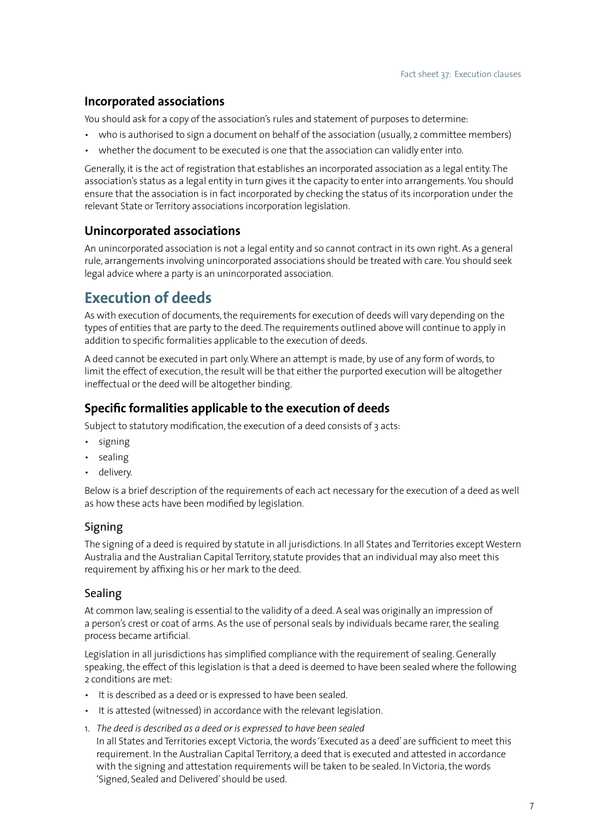## **Incorporated associations**

You should ask for a copy of the association's rules and statement of purposes to determine:

- who is authorised to sign a document on behalf of the association (usually, 2 committee members)
- whether the document to be executed is one that the association can validly enter into.

Generally, it is the act of registration that establishes an incorporated association as a legal entity. The association's status as a legal entity in turn gives it the capacity to enter into arrangements. You should ensure that the association is in fact incorporated by checking the status of its incorporation under the relevant State or Territory associations incorporation legislation.

## **Unincorporated associations**

An unincorporated association is not a legal entity and so cannot contract in its own right. As a general rule, arrangements involving unincorporated associations should be treated with care. You should seek legal advice where a party is an unincorporated association.

# **Execution of deeds**

As with execution of documents, the requirements for execution of deeds will vary depending on the types of entities that are party to the deed. The requirements outlined above will continue to apply in addition to specific formalities applicable to the execution of deeds.

A deed cannot be executed in part only. Where an attempt is made, by use of any form of words, to limit the effect of execution, the result will be that either the purported execution will be altogether ineffectual or the deed will be altogether binding.

## **Specific formalities applicable to the execution of deeds**

Subject to statutory modification, the execution of a deed consists of 3 acts:

- • signing
- sealing
- delivery.

Below is a brief description of the requirements of each act necessary for the execution of a deed as well as how these acts have been modified by legislation.

## Signing

The signing of a deed is required by statute in all jurisdictions. In all States and Territories except Western Australia and the Australian Capital Territory, statute provides that an individual may also meet this requirement by affixing his or her mark to the deed.

#### Sealing

At common law, sealing is essential to the validity of a deed. A seal was originally an impression of a person's crest or coat of arms. As the use of personal seals by individuals became rarer, the sealing process became artificial.

Legislation in all jurisdictions has simplified compliance with the requirement of sealing. Generally speaking, the effect of this legislation is that a deed is deemed to have been sealed where the following 2 conditions are met:

- • It is described as a deed or is expressed to have been sealed.
- It is attested (witnessed) in accordance with the relevant legislation.
- 1. *The deed is described as a deed or is expressed to have been sealed* In all States and Territories except Victoria, the words 'Executed as a deed' are sufficient to meet this requirement. In the Australian Capital Territory, a deed that is executed and attested in accordance with the signing and attestation requirements will be taken to be sealed. In Victoria, the words 'Signed, Sealed and Delivered' should be used.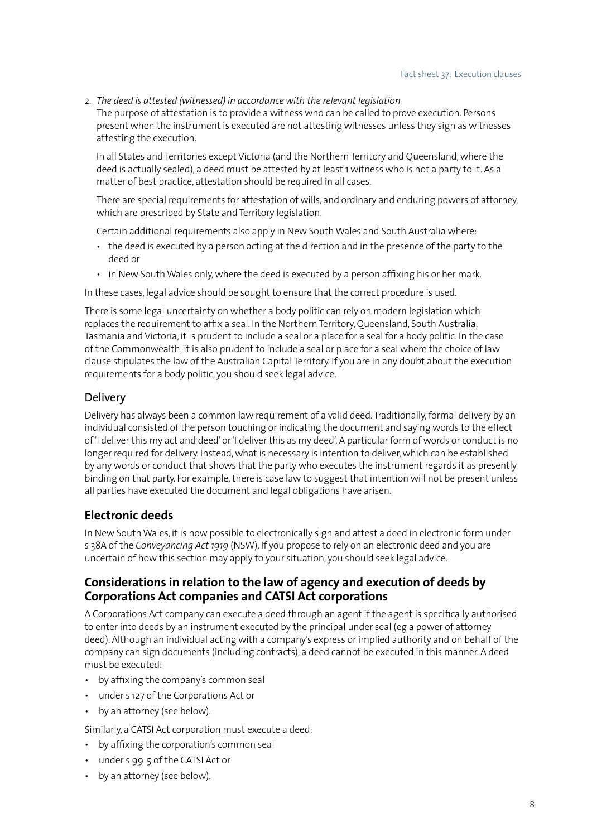2. *The deed is attested (witnessed) in accordance with the relevant legislation*

The purpose of attestation is to provide a witness who can be called to prove execution. Persons present when the instrument is executed are not attesting witnesses unless they sign as witnesses attesting the execution.

In all States and Territories except Victoria (and the Northern Territory and Queensland, where the deed is actually sealed), a deed must be attested by at least 1 witness who is not a party to it. As a matter of best practice, attestation should be required in all cases.

There are special requirements for attestation of wills, and ordinary and enduring powers of attorney, which are prescribed by State and Territory legislation.

Certain additional requirements also apply in New South Wales and South Australia where:

- the deed is executed by a person acting at the direction and in the presence of the party to the deed or
- in New South Wales only, where the deed is executed by a person affixing his or her mark.

In these cases, legal advice should be sought to ensure that the correct procedure is used.

There is some legal uncertainty on whether a body politic can rely on modern legislation which replaces the requirement to affix a seal. In the Northern Territory, Queensland, South Australia, Tasmania and Victoria, it is prudent to include a seal or a place for a seal for a body politic. In the case of the Commonwealth, it is also prudent to include a seal or place for a seal where the choice of law clause stipulates the law of the Australian Capital Territory. If you are in any doubt about the execution requirements for a body politic, you should seek legal advice.

#### **Delivery**

Delivery has always been a common law requirement of a valid deed. Traditionally, formal delivery by an individual consisted of the person touching or indicating the document and saying words to the effect of 'I deliver this my act and deed' or 'I deliver this as my deed'. A particular form of words or conduct is no longer required for delivery. Instead, what is necessary is intention to deliver, which can be established by any words or conduct that shows that the party who executes the instrument regards it as presently binding on that party. For example, there is case law to suggest that intention will not be present unless all parties have executed the document and legal obligations have arisen.

## **Electronic deeds**

In New South Wales, it is now possible to electronically sign and attest a deed in electronic form under s 38A of the *Conveyancing Act 1919* (NSW). If you propose to rely on an electronic deed and you are uncertain of how this section may apply to your situation, you should seek legal advice.

#### **Considerations in relation to the law of agency and execution of deeds by Corporations Act companies and CATSI Act corporations**

A Corporations Act company can execute a deed through an agent if the agent is specifically authorised to enter into deeds by an instrument executed by the principal under seal (eg a power of attorney deed). Although an individual acting with a company's express or implied authority and on behalf of the company can sign documents (including contracts), a deed cannot be executed in this manner. A deed must be executed:

- by affixing the company's common seal
- • under s 127 of the Corporations Act or
- by an attorney (see below).

Similarly, a CATSI Act corporation must execute a deed:

- • by affixing the corporation's common seal
- • under s 99-5 of the CATSI Act or
- by an attorney (see below).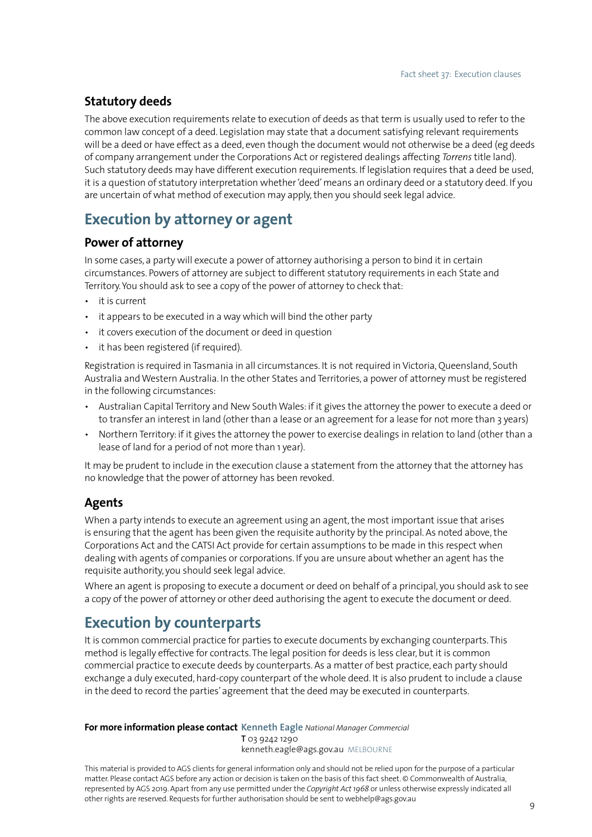## **Statutory deeds**

The above execution requirements relate to execution of deeds as that term is usually used to refer to the common law concept of a deed. Legislation may state that a document satisfying relevant requirements will be a deed or have effect as a deed, even though the document would not otherwise be a deed (eg deeds of company arrangement under the Corporations Act or registered dealings affecting *Torrens* title land). Such statutory deeds may have different execution requirements. If legislation requires that a deed be used, it is a question of statutory interpretation whether 'deed' means an ordinary deed or a statutory deed. If you are uncertain of what method of execution may apply, then you should seek legal advice.

# **Execution by attorney or agent**

## **Power of attorney**

In some cases, a party will execute a power of attorney authorising a person to bind it in certain circumstances. Powers of attorney are subject to different statutory requirements in each State and Territory. You should ask to see a copy of the power of attorney to check that:

- it is current
- it appears to be executed in a way which will bind the other party
- it covers execution of the document or deed in question
- it has been registered (if required).

Registration is required in Tasmania in all circumstances. It is not required in Victoria, Queensland, South Australia and Western Australia. In the other States and Territories, a power of attorney must be registered in the following circumstances:

- • Australian Capital Territory and New South Wales: if it gives the attorney the power to execute a deed or to transfer an interest in land (other than a lease or an agreement for a lease for not more than 3 years)
- • Northern Territory: if it gives the attorney the power to exercise dealings in relation to land (other than a lease of land for a period of not more than 1 year).

It may be prudent to include in the execution clause a statement from the attorney that the attorney has no knowledge that the power of attorney has been revoked.

#### **Agents**

When a party intends to execute an agreement using an agent, the most important issue that arises is ensuring that the agent has been given the requisite authority by the principal. As noted above, the Corporations Act and the CATSI Act provide for certain assumptions to be made in this respect when dealing with agents of companies or corporations. If you are unsure about whether an agent has the requisite authority, you should seek legal advice.

Where an agent is proposing to execute a document or deed on behalf of a principal, you should ask to see a copy of the power of attorney or other deed authorising the agent to execute the document or deed.

# **Execution by counterparts**

It is common commercial practice for parties to execute documents by exchanging counterparts. This method is legally effective for contracts. The legal position for deeds is less clear, but it is common commercial practice to execute deeds by counterparts. As a matter of best practice, each party should exchange a duly executed, hard-copy counterpart of the whole deed. It is also prudent to include a clause in the deed to record the parties' agreement that the deed may be executed in counterparts.

#### **For more information please contact Kenneth Eagle** *National Manager Commercial*

**T** 03 9242 1290 kenneth.eagle@ags.gov.au MELBOURNE

This material is provided to AGS clients for general information only and should not be relied upon for the purpose of a particular matter. Please contact AGS before any action or decision is taken on the basis of this fact sheet. © Commonwealth of Australia, represented by AGS 2019. Apart from any use permitted under the *Copyright Act 1968* or unless otherwise expressly indicated all other rights are reserved. Requests for further authorisation should be sent to webhelp@ags.gov.au <sup>9</sup>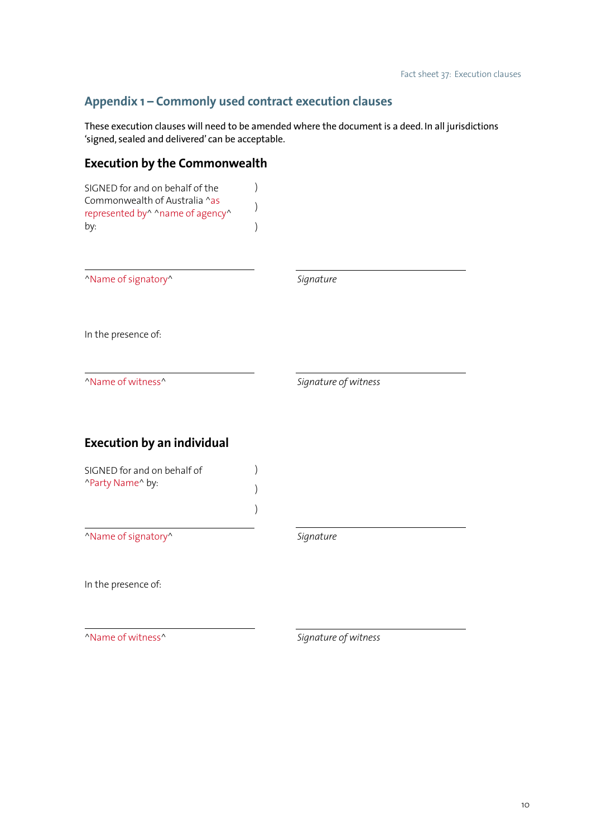# **Appendix 1 – Commonly used contract execution clauses**

These execution clauses will need to be amended where the document is a deed. In all jurisdictions 'signed, sealed and delivered' can be acceptable.

# **Execution by the Commonwealth**

| SIGNED for and on behalf of the<br>Commonwealth of Australia ^as<br>represented by^ ^name of agency^<br>by: |                      |  |
|-------------------------------------------------------------------------------------------------------------|----------------------|--|
| "Name of signatory"                                                                                         | Signature            |  |
| In the presence of:                                                                                         |                      |  |
| "Name of witness"                                                                                           | Signature of witness |  |
| <b>Execution by an individual</b>                                                                           |                      |  |
| SIGNED for and on behalf of<br>"Party Name" by:                                                             |                      |  |
| "Name of signatory"                                                                                         | Signature            |  |
| In the presence of:                                                                                         |                      |  |
| "Name of witness"                                                                                           | Signature of witness |  |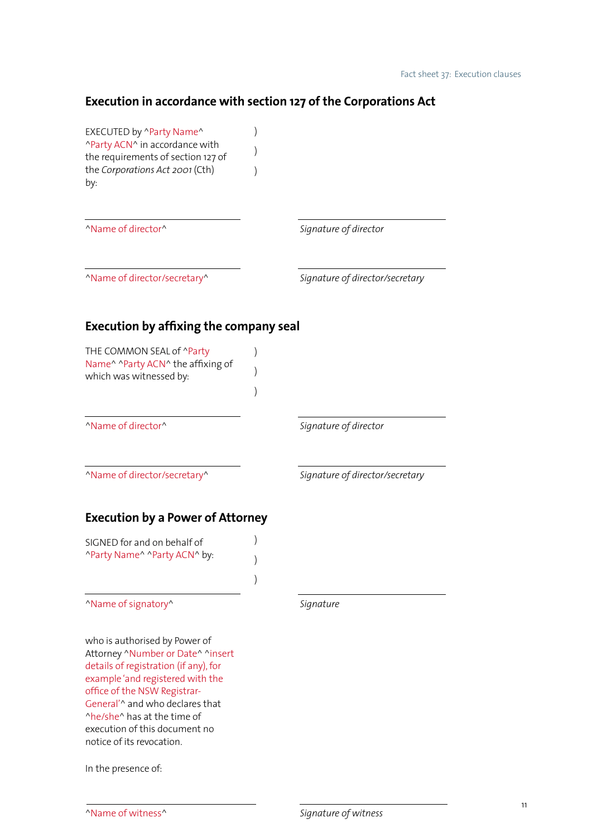# **Execution in accordance with section 127 of the Corporations Act**

| EXECUTED by ^Party Name^<br>^Party ACN^ in accordance with<br>the requirements of section 127 of<br>the Corporations Act 2001 (Cth)<br>by:                                                                                                                                                                      |                                 |
|-----------------------------------------------------------------------------------------------------------------------------------------------------------------------------------------------------------------------------------------------------------------------------------------------------------------|---------------------------------|
| "Name of director"                                                                                                                                                                                                                                                                                              | Signature of director           |
| "Name of director/secretary"                                                                                                                                                                                                                                                                                    | Signature of director/secretary |
| <b>Execution by affixing the company seal</b>                                                                                                                                                                                                                                                                   |                                 |
| THE COMMON SEAL of ^Party<br>Name <sup>^</sup> ^Party ACN^ the affixing of<br>which was witnessed by:                                                                                                                                                                                                           |                                 |
| "Name of director"                                                                                                                                                                                                                                                                                              | Signature of director           |
| "Name of director/secretary"                                                                                                                                                                                                                                                                                    | Signature of director/secretary |
| <b>Execution by a Power of Attorney</b>                                                                                                                                                                                                                                                                         |                                 |
| SIGNED for and on behalf of<br>"Party Name" "Party ACN" by:                                                                                                                                                                                                                                                     |                                 |
| "Name of signatory"                                                                                                                                                                                                                                                                                             | Signature                       |
| who is authorised by Power of<br>Attorney ^Number or Date^ ^insert<br>details of registration (if any), for<br>example 'and registered with the<br>office of the NSW Registrar-<br>General'^ and who declares that<br>^he/she^ has at the time of<br>execution of this document no<br>notice of its revocation. |                                 |

In the presence of: